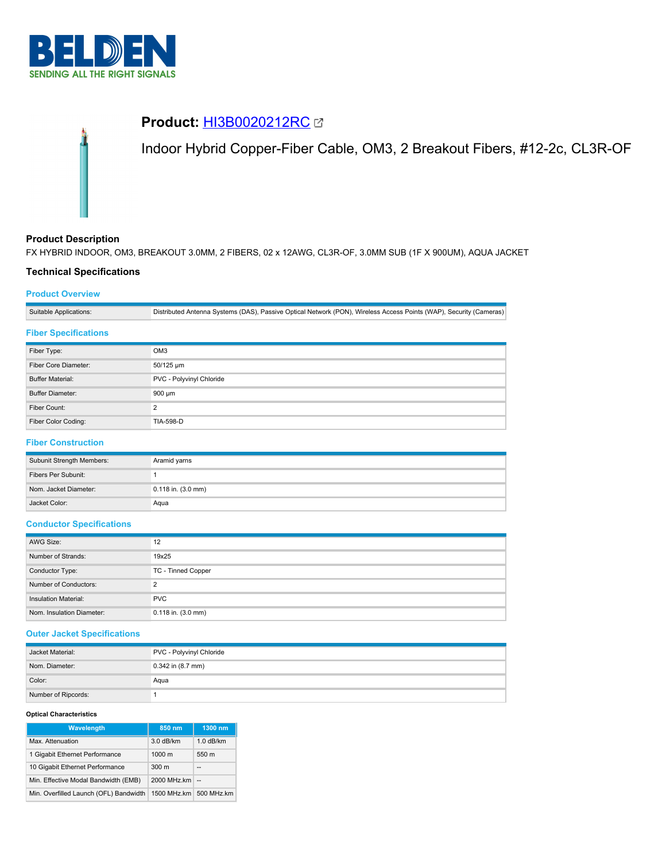



# **Product Description**

FX HYBRID INDOOR, OM3, BREAKOUT 3.0MM, 2 FIBERS, 02 x 12AWG, CL3R-OF, 3.0MM SUB (1F X 900UM), AQUA JACKET

## **Technical Specifications**

### **Product Overview**

Suitable Applications: Distributed Antenna Systems (DAS), Passive Optical Network (PON), Wireless Access Points (WAP), Security (Cameras)

### **Fiber Specifications**

| Fiber Type:             | OM <sub>3</sub>          |
|-------------------------|--------------------------|
| Fiber Core Diameter:    | 50/125 um                |
| <b>Buffer Material:</b> | PVC - Polyvinyl Chloride |
| <b>Buffer Diameter:</b> | $900 \mu m$              |
| Fiber Count:            | C                        |
| Fiber Color Coding:     | <b>TIA-598-D</b>         |

# **Fiber Construction**

| Subunit Strength Members: | Aramid yarns           |
|---------------------------|------------------------|
| Fibers Per Subunit:       |                        |
| Nom. Jacket Diameter:     | $0.118$ in. $(3.0$ mm) |
| Jacket Color:             | Aqua                   |

### **Conductor Specifications**

| AWG Size:                   | 12                     |
|-----------------------------|------------------------|
| Number of Strands:          | 19x25                  |
| Conductor Type:             | TC - Tinned Copper     |
| Number of Conductors:       | っ                      |
| <b>Insulation Material:</b> | <b>PVC</b>             |
| Nom. Insulation Diameter:   | $0.118$ in. $(3.0$ mm) |

### **Outer Jacket Specifications**

| Jacket Material:    | PVC - Polyvinyl Chloride |
|---------------------|--------------------------|
| Nom. Diameter:      | $0.342$ in $(8.7$ mm)    |
| Color:              | Aqua                     |
| Number of Ripcords: |                          |

#### **Optical Characteristics**

| Wavelength                             | 850 nm           | 1300 nm                  |
|----------------------------------------|------------------|--------------------------|
| Max. Attenuation                       | 3.0 dB/km        | $1.0$ dB/km              |
| 1 Gigabit Ethernet Performance         | $1000 \text{ m}$ | 550 m                    |
| 10 Gigabit Ethernet Performance        | 300 <sub>m</sub> | $\overline{\phantom{a}}$ |
| Min. Effective Modal Bandwidth (EMB)   | 2000 MHz.km      | $\sim$                   |
| Min. Overfilled Launch (OFL) Bandwidth | 1500 MHz.km      | 500 MHz.km               |